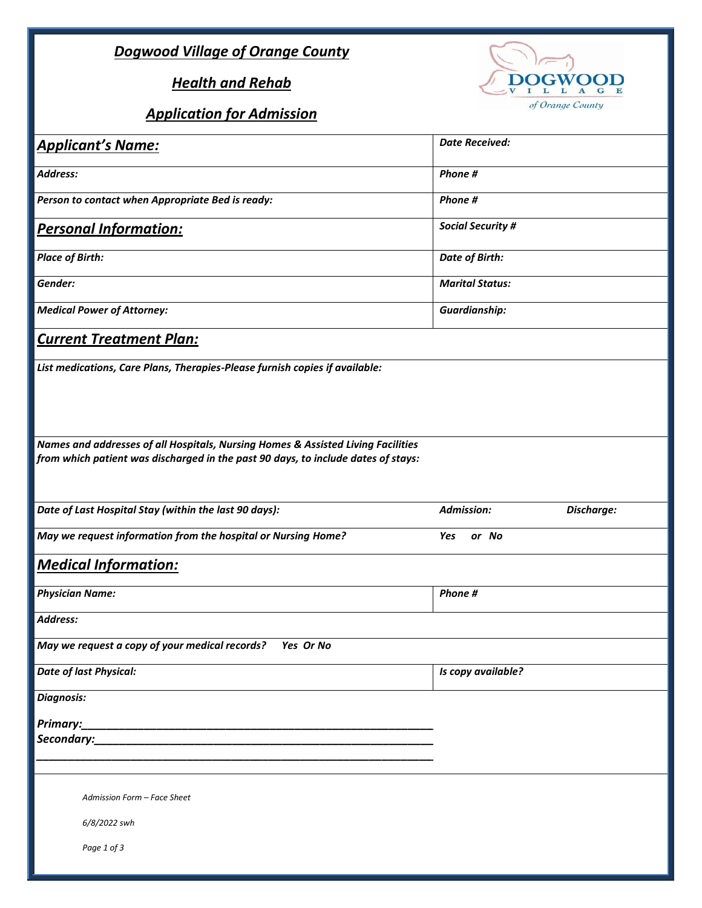## *Dogwood Village of Orange County*

## *Health and Rehab*

## *Application for Admission*



| <b>Applicant's Name:</b>                                                                                                                                              | <b>Date Received:</b>    |            |
|-----------------------------------------------------------------------------------------------------------------------------------------------------------------------|--------------------------|------------|
| <b>Address:</b>                                                                                                                                                       | Phone #                  |            |
| Person to contact when Appropriate Bed is ready:                                                                                                                      | Phone #                  |            |
| <b>Personal Information:</b>                                                                                                                                          | <b>Social Security #</b> |            |
| <b>Place of Birth:</b>                                                                                                                                                | Date of Birth:           |            |
| Gender:                                                                                                                                                               | <b>Marital Status:</b>   |            |
| <b>Medical Power of Attorney:</b>                                                                                                                                     | <b>Guardianship:</b>     |            |
| <b>Current Treatment Plan:</b>                                                                                                                                        |                          |            |
| List medications, Care Plans, Therapies-Please furnish copies if available:                                                                                           |                          |            |
| Names and addresses of all Hospitals, Nursing Homes & Assisted Living Facilities<br>from which patient was discharged in the past 90 days, to include dates of stays: |                          |            |
| Date of Last Hospital Stay (within the last 90 days):                                                                                                                 | <b>Admission:</b>        | Discharge: |
| May we request information from the hospital or Nursing Home?                                                                                                         | Yes<br>or No             |            |
| <b>Medical Information:</b>                                                                                                                                           |                          |            |
| <b>Physician Name:</b>                                                                                                                                                | Phone #                  |            |
| <b>Address:</b>                                                                                                                                                       |                          |            |
| May we request a copy of your medical records?<br>Yes Or No                                                                                                           |                          |            |
| <b>Date of last Physical:</b>                                                                                                                                         | Is copy available?       |            |
| <b>Diagnosis:</b>                                                                                                                                                     |                          |            |
| Primary:                                                                                                                                                              |                          |            |
| Secondary:                                                                                                                                                            |                          |            |
| Admission Form - Face Sheet<br>6/8/2022 swh<br>Page 1 of 3                                                                                                            |                          |            |
|                                                                                                                                                                       |                          |            |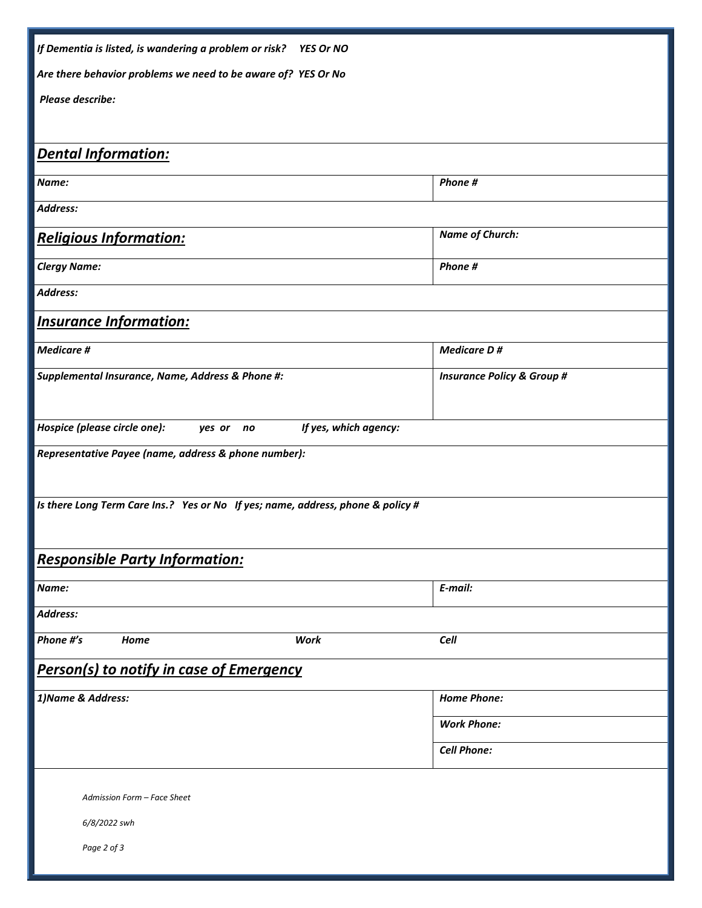| If Dementia is listed, is wandering a problem or risk? YES Or NO                |                                       |  |  |
|---------------------------------------------------------------------------------|---------------------------------------|--|--|
| Are there behavior problems we need to be aware of? YES Or No                   |                                       |  |  |
| Please describe:                                                                |                                       |  |  |
|                                                                                 |                                       |  |  |
| <b>Dental Information:</b>                                                      |                                       |  |  |
| Name:                                                                           | Phone #                               |  |  |
| Address:                                                                        |                                       |  |  |
| <b>Religious Information:</b>                                                   | <b>Name of Church:</b>                |  |  |
| <b>Clergy Name:</b>                                                             | Phone #                               |  |  |
| Address:                                                                        |                                       |  |  |
| <b>Insurance Information:</b>                                                   |                                       |  |  |
| <b>Medicare #</b>                                                               | <b>Medicare D#</b>                    |  |  |
| Supplemental Insurance, Name, Address & Phone #:                                | <b>Insurance Policy &amp; Group #</b> |  |  |
|                                                                                 |                                       |  |  |
| Hospice (please circle one):<br>If yes, which agency:<br>yes or<br>no           |                                       |  |  |
| Representative Payee (name, address & phone number):                            |                                       |  |  |
|                                                                                 |                                       |  |  |
| Is there Long Term Care Ins.? Yes or No If yes; name, address, phone & policy # |                                       |  |  |
|                                                                                 |                                       |  |  |
| <b>Responsible Party Information:</b>                                           |                                       |  |  |
| Name:                                                                           | E-mail:                               |  |  |
| Address:                                                                        |                                       |  |  |
| Phone #'s<br>Work<br>Home                                                       | Cell                                  |  |  |
| <b>Person(s) to notify in case of Emergency</b>                                 |                                       |  |  |
| 1) Name & Address:                                                              | <b>Home Phone:</b>                    |  |  |
|                                                                                 | <b>Work Phone:</b>                    |  |  |
|                                                                                 | <b>Cell Phone:</b>                    |  |  |
|                                                                                 |                                       |  |  |
| Admission Form - Face Sheet                                                     |                                       |  |  |
| 6/8/2022 swh                                                                    |                                       |  |  |
| Page 2 of 3                                                                     |                                       |  |  |
|                                                                                 |                                       |  |  |